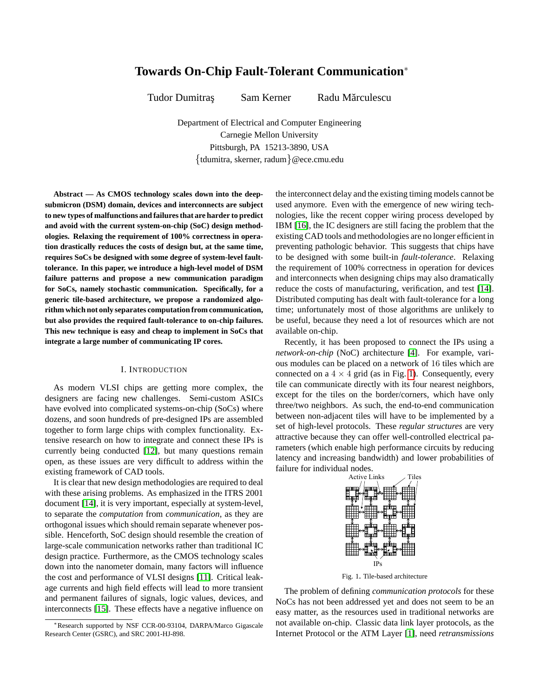# <span id="page-0-0"></span>**Towards On-Chip Fault-Tolerant Communication**<sup>∗</sup>

Tudor Dumitras Sam Kerner Radu Mărculescu

Department of Electrical and Computer Engineering Carnegie Mellon University Pittsburgh, PA 15213-3890, USA {tdumitra, skerner, radum}@ece.cmu.edu

**Abstract — As CMOS technology scales down into the deepsubmicron (DSM) domain, devices and interconnects are subject to new types of malfunctions and failures that are harder to predict and avoid with the current system-on-chip (SoC) design methodologies. Relaxing the requirement of 100% correctness in operation drastically reduces the costs of design but, at the same time, requires SoCs be designed with some degree of system-level faulttolerance. In this paper, we introduce a high-level model of DSM failure patterns and propose a new communication paradigm for SoCs, namely stochastic communication. Specifically, for a generic tile-based architecture, we propose a randomized algorithm which not only separates computation from communication, but also provides the required fault-tolerance to on-chip failures. This new technique is easy and cheap to implement in SoCs that integrate a large number of communicating IP cores.**

## I. INTRODUCTION

As modern VLSI chips are getting more complex, the designers are facing new challenges. Semi-custom ASICs have evolved into complicated systems-on-chip (SoCs) where dozens, and soon hundreds of pre-designed IPs are assembled together to form large chips with complex functionality. Extensive research on how to integrate and connect these IPs is currently being conducted [\[12\]](#page-7-0), but many questions remain open, as these issues are very difficult to address within the existing framework of CAD tools.

It is clear that new design methodologies are required to deal with these arising problems. As emphasized in the ITRS 2001 document [\[14\]](#page-7-0), it is very important, especially at system-level, to separate the *computation* from *communication*, as they are orthogonal issues which should remain separate whenever possible. Henceforth, SoC design should resemble the creation of large-scale communication networks rather than traditional IC design practice. Furthermore, as the CMOS technology scales down into the nanometer domain, many factors will influence the cost and performance of VLSI designs [\[11\]](#page-7-0). Critical leakage currents and high field effects will lead to more transient and permanent failures of signals, logic values, devices, and interconnects [\[15\]](#page-7-0). These effects have a negative influence on the interconnect delay and the existing timing models cannot be used anymore. Even with the emergence of new wiring technologies, like the recent copper wiring process developed by IBM [\[16\]](#page-7-0), the IC designers are still facing the problem that the existing CAD tools and methodologies are no longer efficient in preventing pathologic behavior. This suggests that chips have to be designed with some built-in *fault-tolerance*. Relaxing the requirement of 100% correctness in operation for devices and interconnects when designing chips may also dramatically reduce the costs of manufacturing, verification, and test [\[14\]](#page-7-0). Distributed computing has dealt with fault-tolerance for a long time; unfortunately most of those algorithms are unlikely to be useful, because they need a lot of resources which are not available on-chip.

Recently, it has been proposed to connect the IPs using a *network-on-chip* (NoC) architecture [\[4\]](#page-7-0). For example, various modules can be placed on a network of 16 tiles which are connected on a  $4 \times 4$  grid (as in Fig. 1). Consequently, every tile can communicate directly with its four nearest neighbors, except for the tiles on the border/corners, which have only three/two neighbors. As such, the end-to-end communication between non-adjacent tiles will have to be implemented by a set of high-level protocols. These *regular structures* are very attractive because they can offer well-controlled electrical parameters (which enable high performance circuits by reducing latency and increasing bandwidth) and lower probabilities of failure for individual nodes.



Fig. 1. Tile-based architecture

The problem of defining *communication protocols* for these NoCs has not been addressed yet and does not seem to be an easy matter, as the resources used in traditional networks are not available on-chip. Classic data link layer protocols, as the Internet Protocol or the ATM Layer [\[1\]](#page-7-0), need *retransmissions*

<sup>∗</sup>Research supported by NSF CCR-00-93104, DARPA/Marco Gigascale Research Center (GSRC), and SRC 2001-HJ-898.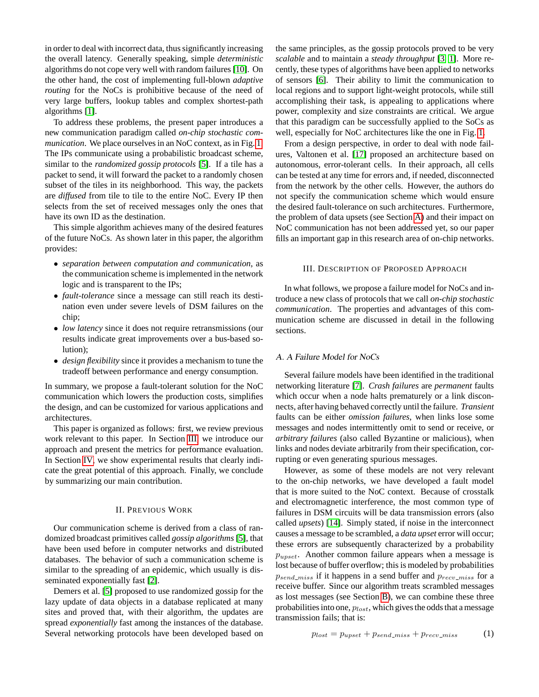<span id="page-1-0"></span>in order to deal with incorrect data, thus significantly increasing the overall latency. Generally speaking, simple *deterministic* algorithms do not cope very well with random failures [\[10\]](#page-7-0). On the other hand, the cost of implementing full-blown *adaptive routing* for the NoCs is prohibitive because of the need of very large buffers, lookup tables and complex shortest-path algorithms [\[1\]](#page-7-0).

To address these problems, the present paper introduces a new communication paradigm called *on-chip stochastic communication*. We place ourselves in an NoC context, as in Fig. [1.](#page-0-0) The IPs communicate using a probabilistic broadcast scheme, similar to the *randomized gossip protocols* [\[5\]](#page-7-0). If a tile has a packet to send, it will forward the packet to a randomly chosen subset of the tiles in its neighborhood. This way, the packets are *diffused* from tile to tile to the entire NoC. Every IP then selects from the set of received messages only the ones that have its own ID as the destination.

This simple algorithm achieves many of the desired features of the future NoCs. As shown later in this paper, the algorithm provides:

- *separation between computation and communication*, as the communication scheme is implemented in the network logic and is transparent to the IPs;
- *fault-tolerance* since a message can still reach its destination even under severe levels of DSM failures on the chip;
- *low latency* since it does not require retransmissions (our results indicate great improvements over a bus-based solution);
- *design flexibility* since it provides a mechanism to tune the tradeoff between performance and energy consumption.

In summary, we propose a fault-tolerant solution for the NoC communication which lowers the production costs, simplifies the design, and can be customized for various applications and architectures.

This paper is organized as follows: first, we review previous work relevant to this paper. In Section III, we introduce our approach and present the metrics for performance evaluation. In Section [IV,](#page-4-0) we show experimental results that clearly indicate the great potential of this approach. Finally, we conclude by summarizing our main contribution.

## II. PREVIOUS WORK

Our communication scheme is derived from a class of randomized broadcast primitives called *gossip algorithms* [\[5\]](#page-7-0), that have been used before in computer networks and distributed databases. The behavior of such a communication scheme is similar to the spreading of an epidemic, which usually is disseminated exponentially fast [\[2\]](#page-7-0).

Demers et al. [\[5\]](#page-7-0) proposed to use randomized gossip for the lazy update of data objects in a database replicated at many sites and proved that, with their algorithm, the updates are spread *exponentially* fast among the instances of the database. Several networking protocols have been developed based on

the same principles, as the gossip protocols proved to be very *scalable* and to maintain a *steady throughput* [\[3, 1\]](#page-7-0). More recently, these types of algorithms have been applied to networks of sensors [\[6\]](#page-7-0). Their ability to limit the communication to local regions and to support light-weight protocols, while still accomplishing their task, is appealing to applications where power, complexity and size constraints are critical. We argue that this paradigm can be successfully applied to the SoCs as well, especially for NoC architectures like the one in Fig. [1.](#page-0-0)

From a design perspective, in order to deal with node failures, Valtonen et al. [\[17\]](#page-7-0) proposed an architecture based on autonomous, error-tolerant cells. In their approach, all cells can be tested at any time for errors and, if needed, disconnected from the network by the other cells. However, the authors do not specify the communication scheme which would ensure the desired fault-tolerance on such architectures. Furthermore, the problem of data upsets (see Section A) and their impact on NoC communication has not been addressed yet, so our paper fills an important gap in this research area of on-chip networks.

#### III. DESCRIPTION OF PROPOSED APPROACH

In what follows, we propose a failure model for NoCs and introduce a new class of protocols that we call *on-chip stochastic communication*. The properties and advantages of this communication scheme are discussed in detail in the following sections.

## A. A Failure Model for NoCs

Several failure models have been identified in the traditional networking literature [\[7\]](#page-7-0). *Crash failures* are *permanent* faults which occur when a node halts prematurely or a link disconnects, after having behaved correctly until the failure. *Transient* faults can be either *omission failures*, when links lose some messages and nodes intermittently omit to send or receive, or *arbitrary failures* (also called Byzantine or malicious), when links and nodes deviate arbitrarily from their specification, corrupting or even generating spurious messages.

However, as some of these models are not very relevant to the on-chip networks, we have developed a fault model that is more suited to the NoC context. Because of crosstalk and electromagnetic interference, the most common type of failures in DSM circuits will be data transmission errors (also called *upsets*) [\[14\]](#page-7-0). Simply stated, if noise in the interconnect causes a message to be scrambled, a *data upset* error will occur; these errors are subsequently characterized by a probability  $p_{upset}$ . Another common failure appears when a message is lost because of buffer overflow; this is modeled by probabilities  $p_{send\_miss}$  if it happens in a send buffer and  $p_{recv\_miss}$  for a receive buffer. Since our algorithm treats scrambled messages as lost messages (see Section [B\)](#page-2-0), we can combine these three probabilities into one,  $p_{lost}$ , which gives the odds that a message transmission fails; that is:

$$
p_{lost} = p_{upset} + p_{send\_miss} + p_{recv\_miss}
$$
 (1)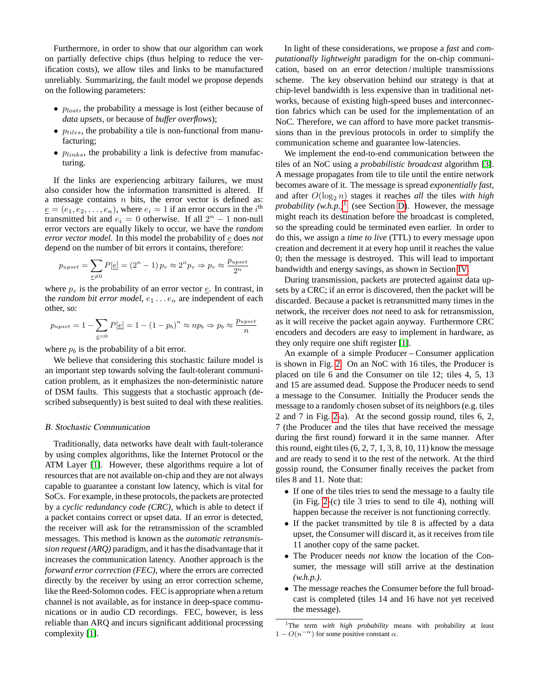<span id="page-2-0"></span>Furthermore, in order to show that our algorithm can work on partially defective chips (thus helping to reduce the verification costs), we allow tiles and links to be manufactured unreliably. Summarizing, the fault model we propose depends on the following parameters:

- $p_{lost}$ , the probability a message is lost (either because of *data upsets*, or because of *buffer overflows*);
- $p_{tiles}$ , the probability a tile is non-functional from manufacturing;
- $p_{links}$ , the probability a link is defective from manufacturing.

If the links are experiencing arbitrary failures, we must also consider how the information transmitted is altered. If a message contains  $n$  bits, the error vector is defined as:  $\underline{e} = (e_1, e_2, \dots, e_n)$ , where  $e_i = 1$  if an error occurs in the  $i^{\text{th}}$ transmitted bit and  $e_i = 0$  otherwise. If all  $2^n - 1$  non-null error vectors are equally likely to occur, we have the *random error vector model*. In this model the probability of  $\epsilon$  does *not* depend on the number of bit errors it contains, therefore:

$$
p_{upset} = \sum_{e \neq 0} P[e] = (2^n - 1) p_v \approx 2^n p_v \Rightarrow p_v \approx \frac{p_{upset}}{2^n}
$$

where  $p_v$  is the probability of an error vector  $\epsilon$ . In contrast, in the *random bit error model*,  $e_1 \ldots e_n$  are independent of each other, so:

$$
p_{upset} = 1 - \sum_{\underline{e}=0} P[\underline{e}] = 1 - (1 - p_b)^n \approx np_b \Rightarrow p_b \approx \frac{p_{upset}}{n}
$$

where  $p_b$  is the probability of a bit error.

We believe that considering this stochastic failure model is an important step towards solving the fault-tolerant communication problem, as it emphasizes the non-deterministic nature of DSM faults. This suggests that a stochastic approach (described subsequently) is best suited to deal with these realities.

## B. Stochastic Communication

Traditionally, data networks have dealt with fault-tolerance by using complex algorithms, like the Internet Protocol or the ATM Layer [\[1\]](#page-7-0). However, these algorithms require a lot of resources that are not available on-chip and they are not always capable to guarantee a constant low latency, which is vital for SoCs. For example, in these protocols, the packets are protected by a *cyclic redundancy code (CRC)*, which is able to detect if a packet contains correct or upset data. If an error is detected, the receiver will ask for the retransmission of the scrambled messages. This method is known as the *automatic retransmission request (ARQ)* paradigm, and it has the disadvantage that it increases the communication latency. Another approach is the *forward error correction (FEC)*, where the errors are corrected directly by the receiver by using an error correction scheme, like the Reed-Solomon codes. FEC is appropriate when a return channel is not available, as for instance in deep-space communications or in audio CD recordings. FEC, however, is less reliable than ARQ and incurs significant additional processing complexity [\[1\]](#page-7-0).

In light of these considerations, we propose a *fast* and *computationally lightweight* paradigm for the on-chip communication, based on an error detection / multiple transmissions scheme. The key observation behind our strategy is that at chip-level bandwidth is less expensive than in traditional networks, because of existing high-speed buses and interconnection fabrics which can be used for the implementation of an NoC. Therefore, we can afford to have more packet transmissions than in the previous protocols in order to simplify the communication scheme and guarantee low-latencies.

We implement the end-to-end communication between the tiles of an NoC using a *probabilistic broadcast* algorithm [\[3\]](#page-7-0). A message propagates from tile to tile until the entire network becomes aware of it. The message is spread *exponentially fast*, and after  $O(\log_2 n)$  stages it reaches *all* the tiles *with high probability (w.h.p.)*<sup>1</sup> (see Section [D\)](#page-3-0). However, the message might reach its destination before the broadcast is completed, so the spreading could be terminated even earlier. In order to do this, we assign a *time to live* (TTL) to every message upon creation and decrement it at every hop until it reaches the value 0; then the message is destroyed. This will lead to important bandwidth and energy savings, as shown in Section [IV.](#page-4-0)

During transmission, packets are protected against data upsets by a CRC; if an error is discovered, then the packet will be discarded. Because a packet is retransmitted many times in the network, the receiver does *not* need to ask for retransmission, as it will receive the packet again anyway. Furthermore CRC encoders and decoders are easy to implement in hardware, as they only require one shift register [\[1\]](#page-7-0).

An example of a simple Producer – Consumer application is shown in Fig. [2.](#page-3-0) On an NoC with 16 tiles, the Producer is placed on tile 6 and the Consumer on tile 12; tiles 4, 5, 13 and 15 are assumed dead. Suppose the Producer needs to send a message to the Consumer. Initially the Producer sends the message to a randomly chosen subset of its neighbors (e.g. tiles 2 and 7 in Fig. [2-](#page-3-0)a). At the second gossip round, tiles 6, 2, 7 (the Producer and the tiles that have received the message during the first round) forward it in the same manner. After this round, eight tiles  $(6, 2, 7, 1, 3, 8, 10, 11)$  know the message and are ready to send it to the rest of the network. At the third gossip round, the Consumer finally receives the packet from tiles 8 and 11. Note that:

- If one of the tiles tries to send the message to a faulty tile (in Fig. [2-](#page-3-0)(c) tile 3 tries to send to tile 4), nothing will happen because the receiver is not functioning correctly.
- If the packet transmitted by tile 8 is affected by a data upset, the Consumer will discard it, as it receives from tile 11 another copy of the same packet.
- The Producer needs *not* know the location of the Consumer, the message will still arrive at the destination *(w.h.p.)*.
- The message reaches the Consumer before the full broadcast is completed (tiles 14 and 16 have not yet received the message).

<sup>&</sup>lt;sup>1</sup>The term *with high probability* means with probability at least  $1 - O(n^{-\alpha})$  for some positive constant  $\alpha$ .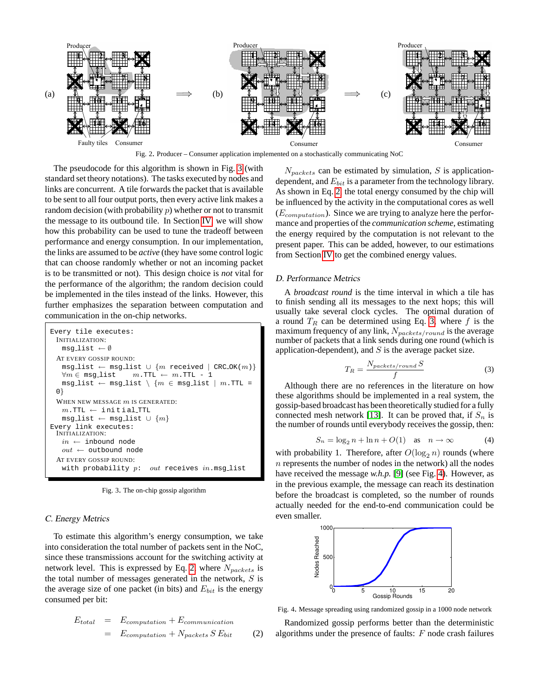<span id="page-3-0"></span>

Fig. 2. Producer – Consumer application implemented on a stochastically communicating NoC

**1 2 3 4** links are concurrent. A tile forwards the packet that is available **5 6 7 8** random decision (with probability p) whether or not to transmit how this probability can be used to tune the tradeoff between **13 14 15 16**  that can choose randomly whether or not an incoming packet standard set theory notations). The tasks executed by nodes and is to be transmitted or not). This design choice is *not* vital for The pseudocode for this algorithm is shown in Fig. 3 (with to be sent to all four output ports, then every active link makes a the message to its outbound tile. In Section [IV,](#page-4-0) we will show performance and energy consumption. In our implementation, the links are assumed to be *active* (they have some control logic the performance of the algorithm; the random decision could be implemented in the tiles instead of the links. However, this further emphasizes the separation between computation and communication in the on-chip networks.

| Every tile executes:<br>INITIALIZATION:<br>$msq_list \leftarrow \emptyset$                                                                                         |
|--------------------------------------------------------------------------------------------------------------------------------------------------------------------|
| AT EVERY GOSSIP ROUND:                                                                                                                                             |
| $msg\_list \leftarrow msg\_list \cup \{m \text{ received }  $ CRC_OK(m)}<br>$\forall m \in \texttt{msg\_list} \qquad m.\texttt{TTL} \leftarrow m.\texttt{TTL} - 1$ |
| $msg\_list \leftarrow msg\_list \setminus \{m \in msg\_list \mid m.TTL =$                                                                                          |
| 0 }                                                                                                                                                                |
| WHEN NEW MESSAGE $m$ is generated:                                                                                                                                 |
| $m$ .TTL $\leftarrow$ initial.TTL                                                                                                                                  |
| $msg\_list \leftarrow msg\_list \cup \{m\}$                                                                                                                        |
| Every link executes:<br>INITIALIZATION:                                                                                                                            |
| $in \leftarrow$ inbound node                                                                                                                                       |
| $out \leftarrow$ outbound node                                                                                                                                     |
| AT EVERY GOSSIP ROUND:                                                                                                                                             |
| with probability $p:$ out receives in msq.list                                                                                                                     |

Fig. 3. The on-chip gossip algorithm

## C. Energy Metrics

To estimate this algorithm's energy consumption, we take into consideration the total number of packets sent in the NoC, since these transmissions account for the switching activity at network level. This is expressed by Eq. 2, where  $N_{packets}$  is the total number of messages generated in the network,  $S$  is the average size of one packet (in bits) and  $E_{bit}$  is the energy consumed per bit:

$$
E_{total} = E_{computation} + E_{communication}
$$
  
= 
$$
E_{computation} + N_{packets} S E_{bit}
$$
 (2)

 $(E_{computation})$ . Since we are trying to analyze here the performance and properties of the *communication scheme*, estimating  $N_{packets}$  can be estimated by simulation, S is applicationdependent, and  $E_{bit}$  is a parameter from the technology library. As shown in Eq. 2, the total energy consumed by the chip will be influenced by the activity in the computational cores as well the energy required by the computation is not relevant to the present paper. This can be added, however, to our estimations from Section [IV](#page-4-0) to get the combined energy values.

#### D. Performance Metrics

A *broadcast round* is the time interval in which a tile has to finish sending all its messages to the next hops; this will usually take several clock cycles. The optimal duration of a round  $T_R$  can be determined using Eq. 3, where f is the maximum frequency of any link,  $N_{packets/round}$  is the average number of packets that a link sends during one round (which is application-dependent), and  $S$  is the average packet size.

$$
T_R = \frac{N_{packets/round} S}{f}
$$
 (3)

Although there are no references in the literature on how these algorithms should be implemented in a real system, the gossip-based broadcast has been theoretically studied for a fully connected mesh network [\[13\]](#page-7-0). It can be proved that, if  $S_n$  is the number of rounds until everybody receives the gossip, then:

$$
S_n = \log_2 n + \ln n + O(1) \quad \text{as} \quad n \to \infty \tag{4}
$$

with probability 1. Therefore, after  $O(\log_2 n)$  rounds (where  $n$  represents the number of nodes in the network) all the nodes have received the message *w.h.p.* [\[9\]](#page-7-0) (see Fig. 4). However, as in the previous example, the message can reach its destination before the broadcast is completed, so the number of rounds actually needed for the end-to-end communication could be even smaller.



Fig. 4. Message spreading using randomized gossip in a 1000 node network

Randomized gossip performs better than the deterministic algorithms under the presence of faults:  $F$  node crash failures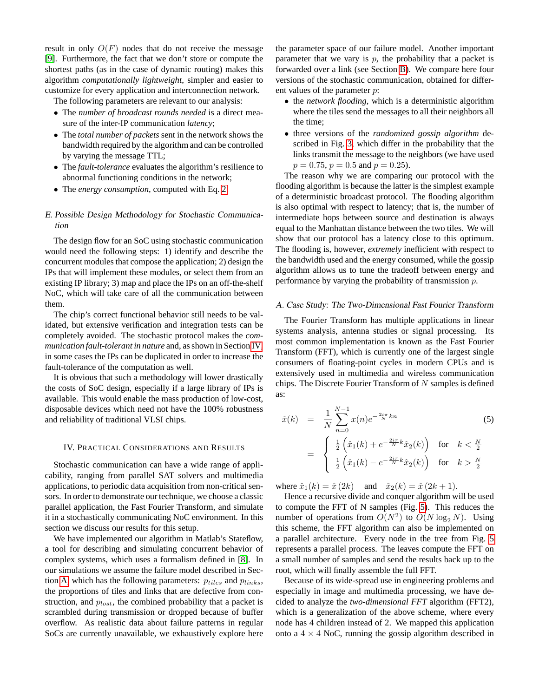<span id="page-4-0"></span>result in only  $O(F)$  nodes that do not receive the message [\[9\]](#page-7-0). Furthermore, the fact that we don't store or compute the shortest paths (as in the case of dynamic routing) makes this algorithm *computationally lightweight*, simpler and easier to customize for every application and interconnection network.

The following parameters are relevant to our analysis:

- The *number of broadcast rounds needed* is a direct measure of the inter-IP communication *latency*;
- The *total number of packets* sent in the network shows the bandwidth required by the algorithm and can be controlled by varying the message TTL;
- The *fault-tolerance* evaluates the algorithm's resilience to abnormal functioning conditions in the network;
- The *energy consumption*, computed with Eq. [2.](#page-3-0)

# E. Possible Design Methodology for Stochastic Communication

The design flow for an SoC using stochastic communication would need the following steps: 1) identify and describe the concurrent modules that compose the application; 2) design the IPs that will implement these modules, or select them from an existing IP library; 3) map and place the IPs on an off-the-shelf NoC, which will take care of all the communication between them.

The chip's correct functional behavior still needs to be validated, but extensive verification and integration tests can be completely avoided. The stochastic protocol makes the *communication fault-tolerant in nature* and, as shown in Section IV, in some cases the IPs can be duplicated in order to increase the fault-tolerance of the computation as well.

It is obvious that such a methodology will lower drastically the costs of SoC design, especially if a large library of IPs is available. This would enable the mass production of low-cost, disposable devices which need not have the 100% robustness and reliability of traditional VLSI chips.

#### IV. PRACTICAL CONSIDERATIONS AND RESULTS

Stochastic communication can have a wide range of applicability, ranging from parallel SAT solvers and multimedia applications, to periodic data acquisition from non-critical sensors. In order to demonstrate our technique, we choose a classic parallel application, the Fast Fourier Transform, and simulate it in a stochastically communicating NoC environment. In this section we discuss our results for this setup.

We have implemented our algorithm in Matlab's Stateflow, a tool for describing and simulating concurrent behavior of complex systems, which uses a formalism defined in [\[8\]](#page-7-0). In our simulations we assume the failure model described in Sec-tion [A,](#page-1-0) which has the following parameters:  $p_{tiles}$  and  $p_{links}$ , the proportions of tiles and links that are defective from construction, and  $p_{lost}$ , the combined probability that a packet is scrambled during transmission or dropped because of buffer overflow. As realistic data about failure patterns in regular SoCs are currently unavailable, we exhaustively explore here the parameter space of our failure model. Another important parameter that we vary is  $p$ , the probability that a packet is forwarded over a link (see Section [B\)](#page-2-0). We compare here four versions of the stochastic communication, obtained for different values of the parameter p:

- the *network flooding*, which is a deterministic algorithm where the tiles send the messages to all their neighbors all the time;
- three versions of the *randomized gossip algorithm* described in Fig. [3,](#page-3-0) which differ in the probability that the links transmit the message to the neighbors (we have used  $p = 0.75$ ,  $p = 0.5$  and  $p = 0.25$ ).

The reason why we are comparing our protocol with the flooding algorithm is because the latter is the simplest example of a deterministic broadcast protocol. The flooding algorithm is also optimal with respect to latency; that is, the number of intermediate hops between source and destination is always equal to the Manhattan distance between the two tiles. We will show that our protocol has a latency close to this optimum. The flooding is, however, *extremely* inefficient with respect to the bandwidth used and the energy consumed, while the gossip algorithm allows us to tune the tradeoff between energy and performance by varying the probability of transmission  $p$ .

## A. Case Study: The Two-Dimensional Fast Fourier Transform

The Fourier Transform has multiple applications in linear systems analysis, antenna studies or signal processing. Its most common implementation is known as the Fast Fourier Transform (FFT), which is currently one of the largest single consumers of floating-point cycles in modern CPUs and is extensively used in multimedia and wireless communication chips. The Discrete Fourier Transform of  $N$  samples is defined as:

$$
\hat{x}(k) = \frac{1}{N} \sum_{n=0}^{N-1} x(n) e^{-\frac{2i\pi}{N}kn} \qquad (5)
$$
\n
$$
= \begin{cases}\n\frac{1}{2} \left( \hat{x}_1(k) + e^{-\frac{2i\pi}{N}k} \hat{x}_2(k) \right) & \text{for } k < \frac{N}{2} \\
\frac{1}{2} \left( \hat{x}_1(k) - e^{-\frac{2i\pi}{N}k} \hat{x}_2(k) \right) & \text{for } k > \frac{N}{2}\n\end{cases}
$$

where  $\hat{x}_1(k) = \hat{x}(2k)$  and  $\hat{x}_2(k) = \hat{x}(2k+1)$ .

Hence a recursive divide and conquer algorithm will be used to compute the FFT of N samples (Fig. [5\)](#page-5-0). This reduces the number of operations from  $O(N^2)$  to  $O(N \log_2 N)$ . Using this scheme, the FFT algorithm can also be implemented on a parallel architecture. Every node in the tree from Fig. [5](#page-5-0) represents a parallel process. The leaves compute the FFT on a small number of samples and send the results back up to the root, which will finally assemble the full FFT.

Because of its wide-spread use in engineering problems and especially in image and multimedia processing, we have decided to analyze the *two-dimensional FFT* algorithm (FFT2), which is a generalization of the above scheme, where every node has 4 children instead of 2. We mapped this application onto a  $4 \times 4$  NoC, running the gossip algorithm described in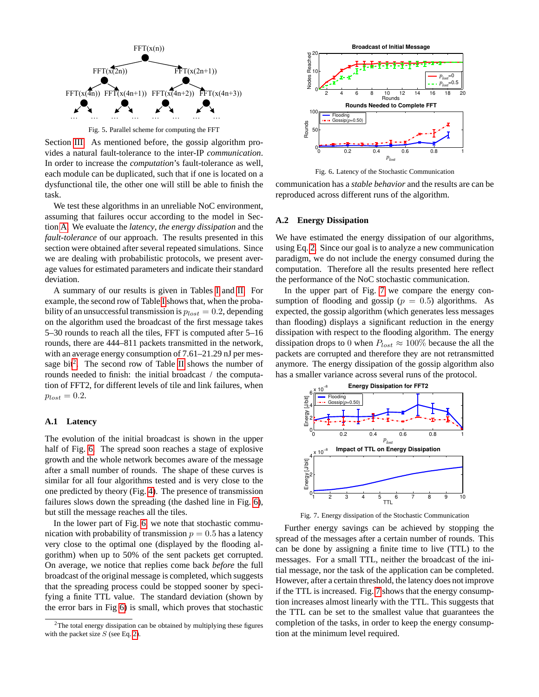<span id="page-5-0"></span>

Section [III.](#page-1-0) As mentioned before, the gossip algorithm provides a natural fault-tolerance to the inter-IP *communication*. In order to increase the *computation*'s fault-tolerance as well, each module can be duplicated, such that if one is located on a dysfunctional tile, the other one will still be able to finish the task.

We test these algorithms in an unreliable NoC environment, assuming that failures occur according to the model in Section [A.](#page-1-0) We evaluate the *latency*, *the energy dissipation* and the *fault-tolerance* of our approach. The results presented in this section were obtained after several repeated simulations. Since we are dealing with probabilistic protocols, we present average values for estimated parameters and indicate their standard deviation.

A summary of our results is given in Tables [I](#page-6-0) and [II.](#page-6-0) For example, the second row of Table [I](#page-6-0) shows that, when the probability of an unsuccessful transmission is  $p_{lost} = 0.2$ , depending on the algorithm used the broadcast of the first message takes 5–30 rounds to reach all the tiles, FFT is computed after 5–16 rounds, there are 444–811 packets transmitted in the network, with an average energy consumption of 7.61–21.29 nJ per mes-sage bit<sup>2</sup>. The second row of Table [II](#page-6-0) shows the number of rounds needed to finish: the initial broadcast / the computation of FFT2, for different levels of tile and link failures, when  $p_{lost} = 0.2$ .

## **A.1 Latency**

The evolution of the initial broadcast is shown in the upper half of Fig. 6. The spread soon reaches a stage of explosive growth and the whole network becomes aware of the message after a small number of rounds. The shape of these curves is similar for all four algorithms tested and is very close to the one predicted by theory (Fig. [4\)](#page-3-0). The presence of transmission failures slows down the spreading (the dashed line in Fig. 6), but still the message reaches all the tiles.

In the lower part of Fig. 6, we note that stochastic communication with probability of transmission  $p = 0.5$  has a latency very close to the optimal one (displayed by the flooding algorithm) when up to 50% of the sent packets get corrupted. On average, we notice that replies come back *before* the full broadcast of the original message is completed, which suggests that the spreading process could be stopped sooner by specifying a finite TTL value. The standard deviation (shown by the error bars in Fig 6) is small, which proves that stochastic



Fig. 6. Latency of the Stochastic Communication

communication has a *stable behavior* and the results are can be reproduced across different runs of the algorithm.

#### **A.2 Energy Dissipation**

We have estimated the energy dissipation of our algorithms, using Eq. [2.](#page-3-0) Since our goal is to analyze a new communication paradigm, we do not include the energy consumed during the computation. Therefore all the results presented here reflect the performance of the NoC stochastic communication.

In the upper part of Fig. 7 we compare the energy consumption of flooding and gossip ( $p = 0.5$ ) algorithms. As expected, the gossip algorithm (which generates less messages than flooding) displays a significant reduction in the energy dissipation with respect to the flooding algorithm. The energy dissipation drops to 0 when  $P_{lost} \approx 100\%$  because the all the packets are corrupted and therefore they are not retransmitted anymore. The energy dissipation of the gossip algorithm also has a smaller variance across several runs of the protocol.



Fig. 7. Energy dissipation of the Stochastic Communication

Further energy savings can be achieved by stopping the spread of the messages after a certain number of rounds. This can be done by assigning a finite time to live (TTL) to the messages. For a small TTL, neither the broadcast of the initial message, nor the task of the application can be completed. However, after a certain threshold, the latency does not improve if the TTL is increased. Fig. 7 shows that the energy consumption increases almost linearly with the TTL. This suggests that the TTL can be set to the smallest value that guarantees the completion of the tasks, in order to keep the energy consumption at the minimum level required.

<sup>2</sup>The total energy dissipation can be obtained by multiplying these figures with the packet size  $S$  (see Eq. [2\)](#page-3-0).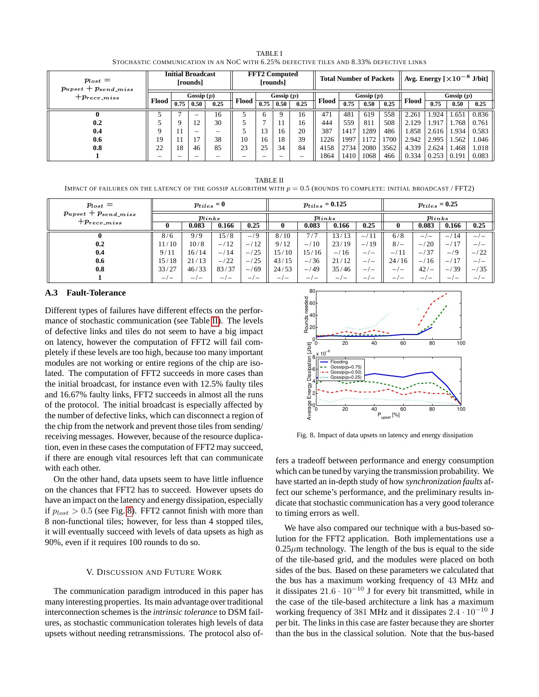TABLE I STOCHASTIC COMMUNICATION IN AN NOC WITH 6.25% DEFECTIVE TILES AND 8.33% DEFECTIVE LINKS

<span id="page-6-0"></span>

| $p_{lost} =$<br>$p_{upset} + p_{send\_miss}$ |       | <b>Initial Broadcast</b> | [rounds] |                                       | <b>FFT2 Computed</b><br>[rounds] |           |      |      | <b>Total Number of Packets</b> |           |      |      | Avg. Energy $\lceil \times 10^{-8} \text{ J/bit} \rceil$ |                 |       |       |
|----------------------------------------------|-------|--------------------------|----------|---------------------------------------|----------------------------------|-----------|------|------|--------------------------------|-----------|------|------|----------------------------------------------------------|-----------------|-------|-------|
| $+ p_{recv\_miss}$                           | Flood | $G$ ossip $(p)$          |          |                                       |                                  | Gossip(p) |      |      |                                | Gossip(p) |      |      |                                                          | $G$ ossip $(p)$ |       |       |
|                                              |       | 0.75                     | 0.50     | 0.25                                  | Flood                            | 0.75      | 0.50 | 0.25 | Flood                          | 0.75      | 0.50 | 0.25 | Flood                                                    | 0.75            | 0.50  | 0.25  |
|                                              |       |                          |          | 16                                    |                                  |           |      | 16   | 471                            | 481       | 619  | 558  | 2.261                                                    | 1.924           | 1.651 | 0.836 |
| 0.2                                          |       |                          | 12       | 30                                    |                                  |           |      | 16   | 444                            | 559       | 811  | 508  | 2.129                                                    | 1.917           | 1.768 | 0.761 |
| 0.4                                          |       | 11                       | -        | $\hspace{1.0cm} \rule{1.5cm}{0.15cm}$ |                                  | 13        | 16   | 20   | 387                            | 1417      | 1289 | 486  | 1.858                                                    | 2.616           | 1.934 | 0.583 |
| 0.6                                          | 19    | 11                       |          | 38                                    | 10                               | 16        | 18   | 39   | 1226                           | 1997      | 1172 | 1700 | 2.942                                                    | 2.995           | .562  | 1.046 |
| 0.8                                          | 22    | 18                       | 46       | 85                                    | 23                               | 25        | 34   | 84   | 4158                           | 2734      | 2080 | 3562 | 4.339                                                    | 2.624           | 1.468 | 1.018 |
|                                              |       |                          |          |                                       |                                  | -         |      | –    | 1864                           | 1410      | 1068 | 466  | 0.334                                                    | 0.253           | 0.191 | 0.083 |

TABLE II IMPACT OF FAILURES ON THE LATENCY OF THE GOSSIP ALGORITHM WITH  $p = 0.5$  (ROUNDS TO COMPLETE: INITIAL BROADCAST / FFT2)

| $p_{lost} =$<br>$p_{upset} + p_{send\_miss}$<br>$+ p_{recv\_miss}$ |       | $p_{tiles} = 0$ |         |                                  |       | $p_{tiles} = 0.125$ |           |                                      | $p_{tiles} = 0.25$ |                                 |                                                      |        |  |
|--------------------------------------------------------------------|-------|-----------------|---------|----------------------------------|-------|---------------------|-----------|--------------------------------------|--------------------|---------------------------------|------------------------------------------------------|--------|--|
|                                                                    |       | $p_{links}$     |         |                                  |       | $p_{links}$         |           |                                      | $p_{links}$        |                                 |                                                      |        |  |
|                                                                    | 0     | 0.083           | 0.166   | 0.25                             | 0     | 0.083               | 0.166     | 0.25                                 | 0                  | 0.083                           | 0.166                                                | 0.25   |  |
|                                                                    | 8/6   | 9/9             | 15/8    | $-19$                            | 8/10  | 7/7                 | 13/<br>13 | $-1$<br>-11                          | 6/8                | $\overline{\phantom{a}}$<br>- 1 | $-1/14$                                              | $-/-$  |  |
| 0.2                                                                | 11/10 | 10/8            | $-1/12$ | $-1/12$                          | 9/12  | $-1/10$             | 23/19     | $-119$                               | $8/-$              | 20<br>$-1$                      | $-117$                                               | $-/-$  |  |
| 0.4                                                                | 9/11  | 16/14           | $-114$  | $-125$                           | 15/10 | 15/16               | $-116$    | $-1$                                 | $-111$             | '37<br>$-1$                     | $-\frac{9}{9}$                                       | $-122$ |  |
| 0.6                                                                | 15/18 | 21/13           | $-122$  | $-125$                           | 43/15 | $-136$              | 21/12     | $-/-$                                | 24/16              | 16<br>$-1$                      | $-117$                                               | $-/-$  |  |
| 0.8                                                                | 33/27 | 46/33           | 83/37   | $-169$                           | 24/53 | $-149$              | 35/46     | $-/-$                                | $-/-$              | $42/-$                          | '39<br>$-1$                                          | $-135$ |  |
|                                                                    | $-1-$ | $-1-$           | $-1-$   | $-1$<br>$\overline{\phantom{0}}$ | $-1$  | $-1-$               | $-/-$     | $ \cdot$<br>$\overline{\phantom{a}}$ | - 1<br>. _         | — <i>1</i>                      | $\overline{\phantom{a}}$<br>$\overline{\phantom{a}}$ | $-1-$  |  |

# **A.3 Fault-Tolerance**

Different types of failures have different effects on the performance of stochastic communication (see Table II). The levels of defective links and tiles do not seem to have a big impact on latency, however the computation of FFT2 will fail completely if these levels are too high, because too many important modules are not working or entire regions of the chip are isolated. The computation of FFT2 succeeds in more cases than the initial broadcast, for instance even with 12.5% faulty tiles and 16.67% faulty links, FFT2 succeeds in almost all the runs of the protocol. The initial broadcast is especially affected by the number of defective links, which can disconnect a region of the chip from the network and prevent those tiles from sending/ receiving messages. However, because of the resource duplication, even in these cases the computation of FFT2 may succeed, if there are enough vital resources left that can communicate with each other.

On the other hand, data upsets seem to have little influence on the chances that FFT2 has to succeed. However upsets do have an impact on the latency and energy dissipation, especially if  $p_{lost} > 0.5$  (see Fig. 8). FFT2 cannot finish with more than 8 non-functional tiles; however, for less than 4 stopped tiles, it will eventually succeed with levels of data upsets as high as 90%, even if it requires 100 rounds to do so.

## V. DISCUSSION AND FUTURE WORK

The communication paradigm introduced in this paper has many interesting properties. Its main advantage over traditional interconnection schemes is the *intrinsic tolerance* to DSM failures, as stochastic communication tolerates high levels of data upsets without needing retransmissions. The protocol also of-



Fig. 8. Impact of data upsets on latency and energy dissipation

fers a tradeoff between performance and energy consumption which can be tuned by varying the transmission probability. We have started an in-depth study of how *synchronization faults* affect our scheme's performance, and the preliminary results indicate that stochastic communication has a very good tolerance to timing errors as well.

We have also compared our technique with a bus-based solution for the FFT2 application. Both implementations use a  $0.25\mu$ m technology. The length of the bus is equal to the side of the tile-based grid, and the modules were placed on both sides of the bus. Based on these parameters we calculated that the bus has a maximum working frequency of 43 MHz and it dissipates  $21.6 \cdot 10^{-10}$  J for every bit transmitted, while in the case of the tile-based architecture a link has a maximum working frequency of 381 MHz and it dissipates  $2.4 \cdot 10^{-10}$  J per bit. The links in this case are faster because they are shorter than the bus in the classical solution. Note that the bus-based